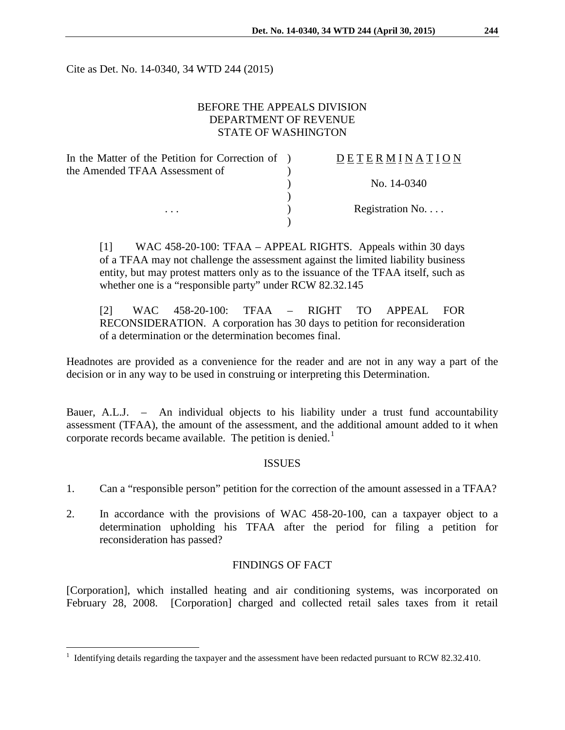Cite as Det. No. 14-0340, 34 WTD 244 (2015)

# BEFORE THE APPEALS DIVISION DEPARTMENT OF REVENUE STATE OF WASHINGTON

| In the Matter of the Petition for Correction of ) | DETERMINATION   |
|---------------------------------------------------|-----------------|
| the Amended TFAA Assessment of                    |                 |
|                                                   | No. 14-0340     |
|                                                   |                 |
| .                                                 | Registration No |
|                                                   |                 |
|                                                   |                 |

[1] WAC 458-20-100: TFAA – APPEAL RIGHTS. Appeals within 30 days of a TFAA may not challenge the assessment against the limited liability business entity, but may protest matters only as to the issuance of the TFAA itself, such as whether one is a "responsible party" under RCW 82.32.145

[2] WAC 458-20-100: TFAA – RIGHT TO APPEAL FOR RECONSIDERATION. A corporation has 30 days to petition for reconsideration of a determination or the determination becomes final.

Headnotes are provided as a convenience for the reader and are not in any way a part of the decision or in any way to be used in construing or interpreting this Determination.

Bauer, A.L.J. – An individual objects to his liability under a trust fund accountability assessment (TFAA), the amount of the assessment, and the additional amount added to it when corporate records became available. The petition is denied.<sup>[1](#page-0-0)</sup>

## **ISSUES**

- 1. Can a "responsible person" petition for the correction of the amount assessed in a TFAA?
- 2. In accordance with the provisions of WAC 458-20-100, can a taxpayer object to a determination upholding his TFAA after the period for filing a petition for reconsideration has passed?

## FINDINGS OF FACT

[Corporation], which installed heating and air conditioning systems, was incorporated on February 28, 2008. [Corporation] charged and collected retail sales taxes from it retail

 $\overline{a}$ 

<span id="page-0-0"></span><sup>&</sup>lt;sup>1</sup> Identifying details regarding the taxpayer and the assessment have been redacted pursuant to RCW 82.32.410.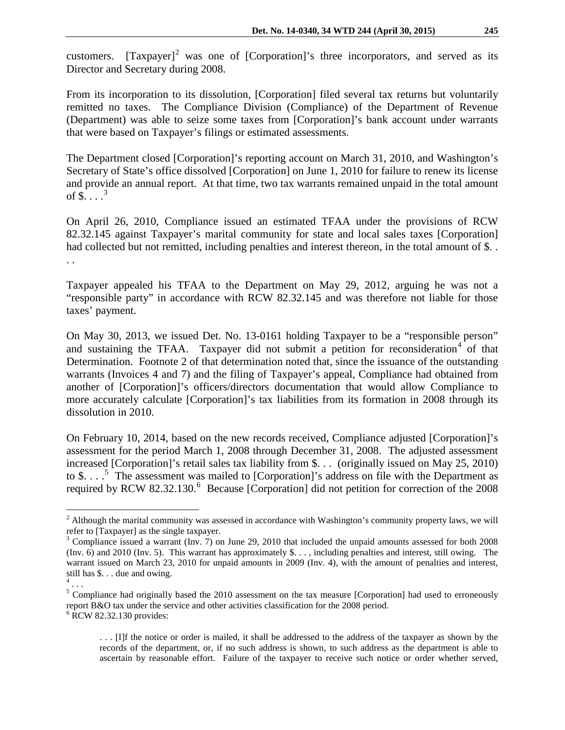customers.  $[Taxpayer]<sup>2</sup>$  $[Taxpayer]<sup>2</sup>$  $[Taxpayer]<sup>2</sup>$  was one of  $[Corporation]<sup>2</sup>$  s three incorporators, and served as its Director and Secretary during 2008.

From its incorporation to its dissolution, [Corporation] filed several tax returns but voluntarily remitted no taxes. The Compliance Division (Compliance) of the Department of Revenue (Department) was able to seize some taxes from [Corporation]'s bank account under warrants that were based on Taxpayer's filings or estimated assessments.

The Department closed [Corporation]'s reporting account on March 31, 2010, and Washington's Secretary of State's office dissolved [Corporation] on June 1, 2010 for failure to renew its license and provide an annual report. At that time, two tax warrants remained unpaid in the total amount of  $\$ \dots^3$  $\$ \dots^3$ 

On April 26, 2010, Compliance issued an estimated TFAA under the provisions of RCW 82.32.145 against Taxpayer's marital community for state and local sales taxes [Corporation] had collected but not remitted, including penalties and interest thereon, in the total amount of \$... . .

Taxpayer appealed his TFAA to the Department on May 29, 2012, arguing he was not a "responsible party" in accordance with RCW 82.32.145 and was therefore not liable for those taxes' payment.

On May 30, 2013, we issued Det. No. 13-0161 holding Taxpayer to be a "responsible person" and sustaining the TFAA. Taxpayer did not submit a petition for reconsideration<sup>[4](#page-1-2)</sup> of that Determination. Footnote 2 of that determination noted that, since the issuance of the outstanding warrants (Invoices 4 and 7) and the filing of Taxpayer's appeal, Compliance had obtained from another of [Corporation]'s officers/directors documentation that would allow Compliance to more accurately calculate [Corporation]'s tax liabilities from its formation in 2008 through its dissolution in 2010.

On February 10, 2014, based on the new records received, Compliance adjusted [Corporation]'s assessment for the period March 1, 2008 through December 31, 2008. The adjusted assessment increased [Corporation]'s retail sales tax liability from \$. . . (originally issued on May 25, 2010) to \$.  $\ldots$ <sup>[5](#page-1-3)</sup>. The assessment was mailed to [Corporation]'s address on file with the Department as required by RCW 82.32.130.<sup>[6](#page-1-4)</sup> Because [Corporation] did not petition for correction of the 2008

 $\overline{a}$ 

. . . [I]f the notice or order is mailed, it shall be addressed to the address of the taxpayer as shown by the records of the department, or, if no such address is shown, to such address as the department is able to ascertain by reasonable effort. Failure of the taxpayer to receive such notice or order whether served,

<span id="page-1-0"></span> $2$  Although the marital community was assessed in accordance with Washington's community property laws, we will refer to [Taxpayer] as the single taxpayer.<br><sup>3</sup> Compliance issued a warrant (Inv. 7) on June 29, 2010 that included the unpaid amounts assessed for both 2008

<span id="page-1-1"></span><sup>(</sup>Inv. 6) and 2010 (Inv. 5). This warrant has approximately \$. . . , including penalties and interest, still owing. The warrant issued on March 23, 2010 for unpaid amounts in 2009 (Inv. 4), with the amount of penalties and interest, still has  $\$\dots$  due and owing.

<span id="page-1-3"></span><span id="page-1-2"></span><sup>&</sup>lt;sup>5</sup> Compliance had originally based the 2010 assessment on the tax measure [Corporation] had used to erroneously report B&O tax under the service and other activities classification for the 2008 period. <br><sup>6</sup> RCW 82.32.130 provides:

<span id="page-1-4"></span>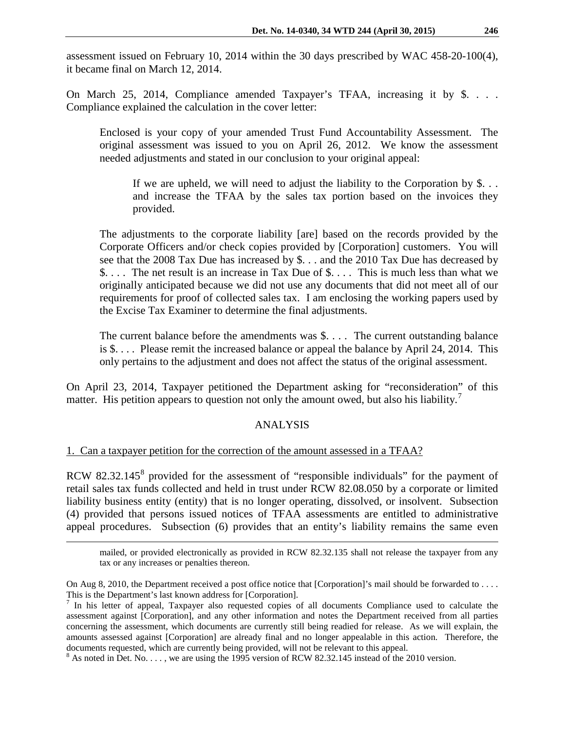assessment issued on February 10, 2014 within the 30 days prescribed by WAC 458-20-100(4), it became final on March 12, 2014.

On March 25, 2014, Compliance amended Taxpayer's TFAA, increasing it by \$. . . . Compliance explained the calculation in the cover letter:

Enclosed is your copy of your amended Trust Fund Accountability Assessment. The original assessment was issued to you on April 26, 2012. We know the assessment needed adjustments and stated in our conclusion to your original appeal:

If we are upheld, we will need to adjust the liability to the Corporation by  $\$\ldots$ and increase the TFAA by the sales tax portion based on the invoices they provided.

The adjustments to the corporate liability [are] based on the records provided by the Corporate Officers and/or check copies provided by [Corporation] customers. You will see that the 2008 Tax Due has increased by \$. . . and the 2010 Tax Due has decreased by \$. . . . The net result is an increase in Tax Due of \$. . . . This is much less than what we originally anticipated because we did not use any documents that did not meet all of our requirements for proof of collected sales tax. I am enclosing the working papers used by the Excise Tax Examiner to determine the final adjustments.

The current balance before the amendments was \$. . . . The current outstanding balance is \$. . . . Please remit the increased balance or appeal the balance by April 24, 2014. This only pertains to the adjustment and does not affect the status of the original assessment.

On April 23, 2014, Taxpayer petitioned the Department asking for "reconsideration" of this matter. His petition appears to question not only the amount owed, but also his liability.<sup>[7](#page-2-0)</sup>

# ANALYSIS

## 1. Can a taxpayer petition for the correction of the amount assessed in a TFAA?

 $\overline{a}$ 

RCW [8](#page-2-1)2.32.145<sup>8</sup> provided for the assessment of "responsible individuals" for the payment of retail sales tax funds collected and held in trust under RCW 82.08.050 by a corporate or limited liability business entity (entity) that is no longer operating, dissolved, or insolvent. Subsection (4) provided that persons issued notices of TFAA assessments are entitled to administrative appeal procedures. Subsection (6) provides that an entity's liability remains the same even

mailed, or provided electronically as provided in RCW 82.32.135 shall not release the taxpayer from any tax or any increases or penalties thereon.

On Aug 8, 2010, the Department received a post office notice that [Corporation]'s mail should be forwarded to . . . . This is the Department's last known address for [Corporation].<br><sup>7</sup> In his letter of appeal, Taxpayer also requested copies of all documents Compliance used to calculate the

<span id="page-2-0"></span>assessment against [Corporation], and any other information and notes the Department received from all parties concerning the assessment, which documents are currently still being readied for release. As we will explain, the amounts assessed against [Corporation] are already final and no longer appealable in this action. Therefore, the documents requested, which are currently being provided, will not be relevant to this appeal.<br><sup>8</sup> As noted in Det. No. . . . , we are using the 1995 version of RCW 82.32.145 instead of the 2010 version.

<span id="page-2-1"></span>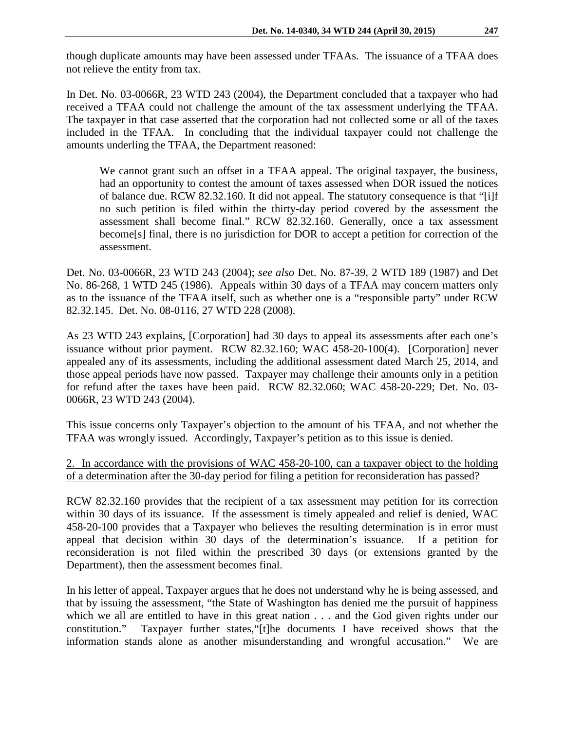though duplicate amounts may have been assessed under TFAAs. The issuance of a TFAA does not relieve the entity from tax.

In Det. No. 03-0066R, 23 WTD 243 (2004), the Department concluded that a taxpayer who had received a TFAA could not challenge the amount of the tax assessment underlying the TFAA. The taxpayer in that case asserted that the corporation had not collected some or all of the taxes included in the TFAA. In concluding that the individual taxpayer could not challenge the amounts underling the TFAA, the Department reasoned:

We cannot grant such an offset in a TFAA appeal. The original taxpayer, the business, had an opportunity to contest the amount of taxes assessed when DOR issued the notices of balance due. RCW 82.32.160. It did not appeal. The statutory consequence is that "[i]f no such petition is filed within the thirty-day period covered by the assessment the assessment shall become final." RCW 82.32.160. Generally, once a tax assessment become[s] final, there is no jurisdiction for DOR to accept a petition for correction of the assessment.

Det. No. 03-0066R, 23 WTD 243 (2004); *see also* Det. No. 87-39, 2 WTD 189 (1987) and Det No. 86-268, 1 WTD 245 (1986). Appeals within 30 days of a TFAA may concern matters only as to the issuance of the TFAA itself, such as whether one is a "responsible party" under RCW 82.32.145. Det. No. 08-0116, 27 WTD 228 (2008).

As 23 WTD 243 explains, [Corporation] had 30 days to appeal its assessments after each one's issuance without prior payment. RCW 82.32.160; WAC 458-20-100(4). [Corporation] never appealed any of its assessments, including the additional assessment dated March 25, 2014, and those appeal periods have now passed. Taxpayer may challenge their amounts only in a petition for refund after the taxes have been paid. RCW 82.32.060; WAC 458-20-229; Det. No. 03- 0066R, 23 WTD 243 (2004).

This issue concerns only Taxpayer's objection to the amount of his TFAA, and not whether the TFAA was wrongly issued. Accordingly, Taxpayer's petition as to this issue is denied.

2. In accordance with the provisions of WAC 458-20-100, can a taxpayer object to the holding of a determination after the 30-day period for filing a petition for reconsideration has passed?

RCW 82.32.160 provides that the recipient of a tax assessment may petition for its correction within 30 days of its issuance. If the assessment is timely appealed and relief is denied, WAC 458-20-100 provides that a Taxpayer who believes the resulting determination is in error must appeal that decision within 30 days of the determination's issuance. If a petition for reconsideration is not filed within the prescribed 30 days (or extensions granted by the Department), then the assessment becomes final.

In his letter of appeal, Taxpayer argues that he does not understand why he is being assessed, and that by issuing the assessment, "the State of Washington has denied me the pursuit of happiness which we all are entitled to have in this great nation . . . and the God given rights under our constitution." Taxpayer further states,"[t]he documents I have received shows that the information stands alone as another misunderstanding and wrongful accusation." We are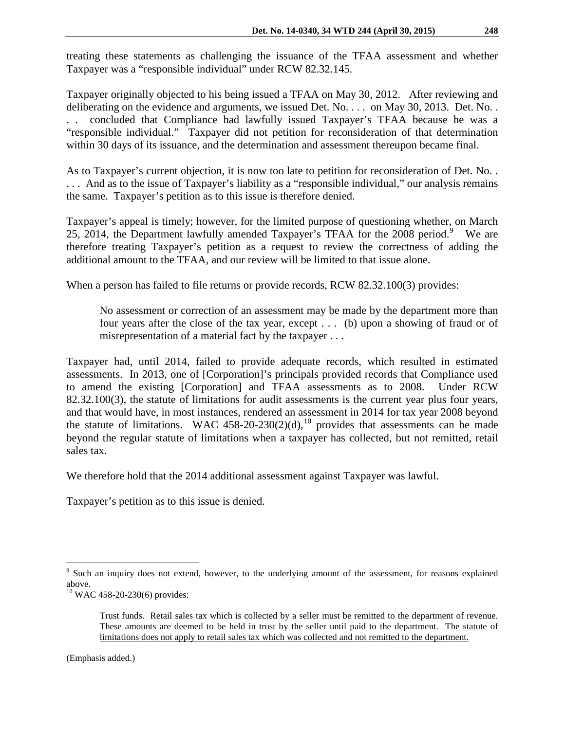treating these statements as challenging the issuance of the TFAA assessment and whether Taxpayer was a "responsible individual" under RCW 82.32.145.

Taxpayer originally objected to his being issued a TFAA on May 30, 2012. After reviewing and deliberating on the evidence and arguments, we issued Det. No. . . . on May 30, 2013. Det. No. . . . concluded that Compliance had lawfully issued Taxpayer's TFAA because he was a "responsible individual." Taxpayer did not petition for reconsideration of that determination within 30 days of its issuance, and the determination and assessment thereupon became final.

As to Taxpayer's current objection, it is now too late to petition for reconsideration of Det. No. . . . . And as to the issue of Taxpayer's liability as a "responsible individual," our analysis remains the same. Taxpayer's petition as to this issue is therefore denied.

Taxpayer's appeal is timely; however, for the limited purpose of questioning whether, on March 25, 2014, the Department lawfully amended Taxpayer's TFAA for the 2008 period.<sup>[9](#page-4-0)</sup> We are therefore treating Taxpayer's petition as a request to review the correctness of adding the additional amount to the TFAA, and our review will be limited to that issue alone.

When a person has failed to file returns or provide records, RCW 82.32.100(3) provides:

No assessment or correction of an assessment may be made by the department more than four years after the close of the tax year, except . . . (b) upon a showing of fraud or of misrepresentation of a material fact by the taxpayer . . .

Taxpayer had, until 2014, failed to provide adequate records, which resulted in estimated assessments. In 2013, one of [Corporation]'s principals provided records that Compliance used to amend the existing [Corporation] and TFAA assessments as to 2008. Under RCW 82.32.100(3), the statute of limitations for audit assessments is the current year plus four years, and that would have, in most instances, rendered an assessment in 2014 for tax year 2008 beyond the statute of limitations. WAC 458-20-230(2)(d),<sup>[10](#page-4-1)</sup> provides that assessments can be made beyond the regular statute of limitations when a taxpayer has collected, but not remitted, retail sales tax.

We therefore hold that the 2014 additional assessment against Taxpayer was lawful.

Taxpayer's petition as to this issue is denied.

 $\overline{a}$ 

<span id="page-4-0"></span><sup>&</sup>lt;sup>9</sup> Such an inquiry does not extend, however, to the underlying amount of the assessment, for reasons explained above.

<span id="page-4-1"></span> $10$  WAC 458-20-230(6) provides:

Trust funds. Retail sales tax which is collected by a seller must be remitted to the department of revenue. These amounts are deemed to be held in trust by the seller until paid to the department. The statute of limitations does not apply to retail sales tax which was collected and not remitted to the department.